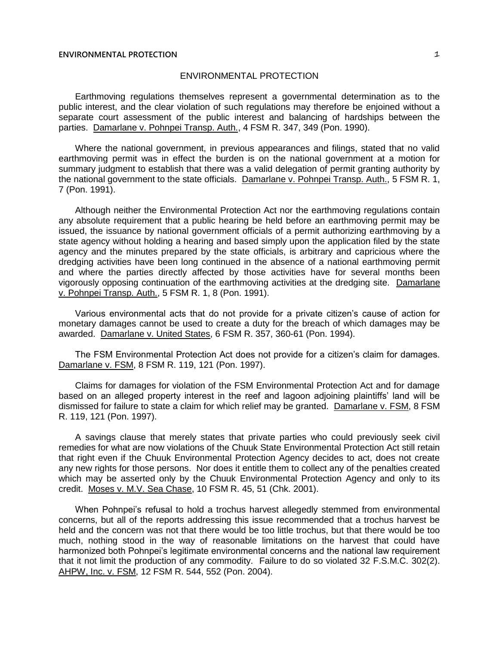## **ENVIRONMENTAL PROTECTION** 1

## ENVIRONMENTAL PROTECTION

Earthmoving regulations themselves represent a governmental determination as to the public interest, and the clear violation of such regulations may therefore be enjoined without a separate court assessment of the public interest and balancing of hardships between the parties. Damarlane v. Pohnpei Transp. Auth., 4 FSM R. 347, 349 (Pon. 1990).

Where the national government, in previous appearances and filings, stated that no valid earthmoving permit was in effect the burden is on the national government at a motion for summary judgment to establish that there was a valid delegation of permit granting authority by the national government to the state officials. Damarlane v. Pohnpei Transp. Auth., 5 FSM R. 1, 7 (Pon. 1991).

Although neither the Environmental Protection Act nor the earthmoving regulations contain any absolute requirement that a public hearing be held before an earthmoving permit may be issued, the issuance by national government officials of a permit authorizing earthmoving by a state agency without holding a hearing and based simply upon the application filed by the state agency and the minutes prepared by the state officials, is arbitrary and capricious where the dredging activities have been long continued in the absence of a national earthmoving permit and where the parties directly affected by those activities have for several months been vigorously opposing continuation of the earthmoving activities at the dredging site. Damarlane v. Pohnpei Transp. Auth., 5 FSM R. 1, 8 (Pon. 1991).

Various environmental acts that do not provide for a private citizen's cause of action for monetary damages cannot be used to create a duty for the breach of which damages may be awarded. Damarlane v. United States, 6 FSM R. 357, 360-61 (Pon. 1994).

The FSM Environmental Protection Act does not provide for a citizen's claim for damages. Damarlane v. FSM, 8 FSM R. 119, 121 (Pon. 1997).

Claims for damages for violation of the FSM Environmental Protection Act and for damage based on an alleged property interest in the reef and lagoon adjoining plaintiffs' land will be dismissed for failure to state a claim for which relief may be granted. Damarlane v. FSM, 8 FSM R. 119, 121 (Pon. 1997).

A savings clause that merely states that private parties who could previously seek civil remedies for what are now violations of the Chuuk State Environmental Protection Act still retain that right even if the Chuuk Environmental Protection Agency decides to act, does not create any new rights for those persons. Nor does it entitle them to collect any of the penalties created which may be asserted only by the Chuuk Environmental Protection Agency and only to its credit. Moses v. M.V. Sea Chase, 10 FSM R. 45, 51 (Chk. 2001).

When Pohnpei's refusal to hold a trochus harvest allegedly stemmed from environmental concerns, but all of the reports addressing this issue recommended that a trochus harvest be held and the concern was not that there would be too little trochus, but that there would be too much, nothing stood in the way of reasonable limitations on the harvest that could have harmonized both Pohnpei's legitimate environmental concerns and the national law requirement that it not limit the production of any commodity. Failure to do so violated 32 F.S.M.C. 302(2). AHPW, Inc. v. FSM, 12 FSM R. 544, 552 (Pon. 2004).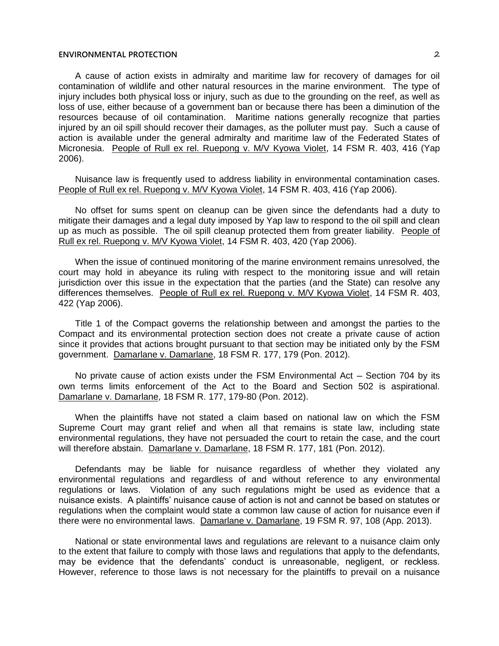## **ENVIRONMENTAL PROTECTION** 2

A cause of action exists in admiralty and maritime law for recovery of damages for oil contamination of wildlife and other natural resources in the marine environment. The type of injury includes both physical loss or injury, such as due to the grounding on the reef, as well as loss of use, either because of a government ban or because there has been a diminution of the resources because of oil contamination. Maritime nations generally recognize that parties injured by an oil spill should recover their damages, as the polluter must pay. Such a cause of action is available under the general admiralty and maritime law of the Federated States of Micronesia. People of Rull ex rel. Ruepong v. M/V Kyowa Violet, 14 FSM R. 403, 416 (Yap 2006).

Nuisance law is frequently used to address liability in environmental contamination cases. People of Rull ex rel. Ruepong v. M/V Kyowa Violet, 14 FSM R. 403, 416 (Yap 2006).

No offset for sums spent on cleanup can be given since the defendants had a duty to mitigate their damages and a legal duty imposed by Yap law to respond to the oil spill and clean up as much as possible. The oil spill cleanup protected them from greater liability. People of Rull ex rel. Ruepong v. M/V Kyowa Violet, 14 FSM R. 403, 420 (Yap 2006).

When the issue of continued monitoring of the marine environment remains unresolved, the court may hold in abeyance its ruling with respect to the monitoring issue and will retain jurisdiction over this issue in the expectation that the parties (and the State) can resolve any differences themselves. People of Rull ex rel. Ruepong v. M/V Kyowa Violet, 14 FSM R. 403, 422 (Yap 2006).

Title 1 of the Compact governs the relationship between and amongst the parties to the Compact and its environmental protection section does not create a private cause of action since it provides that actions brought pursuant to that section may be initiated only by the FSM government. Damarlane v. Damarlane, 18 FSM R. 177, 179 (Pon. 2012).

No private cause of action exists under the FSM Environmental Act – Section 704 by its own terms limits enforcement of the Act to the Board and Section 502 is aspirational. Damarlane v. Damarlane, 18 FSM R. 177, 179-80 (Pon. 2012).

When the plaintiffs have not stated a claim based on national law on which the FSM Supreme Court may grant relief and when all that remains is state law, including state environmental regulations, they have not persuaded the court to retain the case, and the court will therefore abstain. Damarlane v. Damarlane, 18 FSM R. 177, 181 (Pon. 2012).

Defendants may be liable for nuisance regardless of whether they violated any environmental regulations and regardless of and without reference to any environmental regulations or laws. Violation of any such regulations might be used as evidence that a nuisance exists. A plaintiffs' nuisance cause of action is not and cannot be based on statutes or regulations when the complaint would state a common law cause of action for nuisance even if there were no environmental laws. Damarlane v. Damarlane, 19 FSM R. 97, 108 (App. 2013).

National or state environmental laws and regulations are relevant to a nuisance claim only to the extent that failure to comply with those laws and regulations that apply to the defendants, may be evidence that the defendants' conduct is unreasonable, negligent, or reckless. However, reference to those laws is not necessary for the plaintiffs to prevail on a nuisance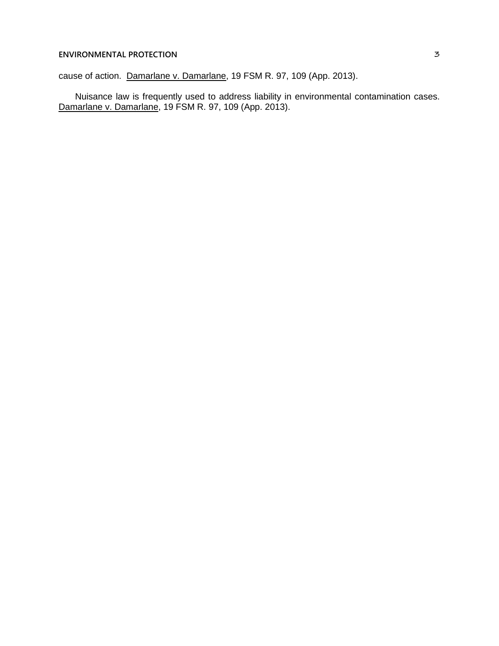## **ENVIRONMENTAL PROTECTION** 3

cause of action. Damarlane v. Damarlane, 19 FSM R. 97, 109 (App. 2013).

Nuisance law is frequently used to address liability in environmental contamination cases. Damarlane v. Damarlane, 19 FSM R. 97, 109 (App. 2013).